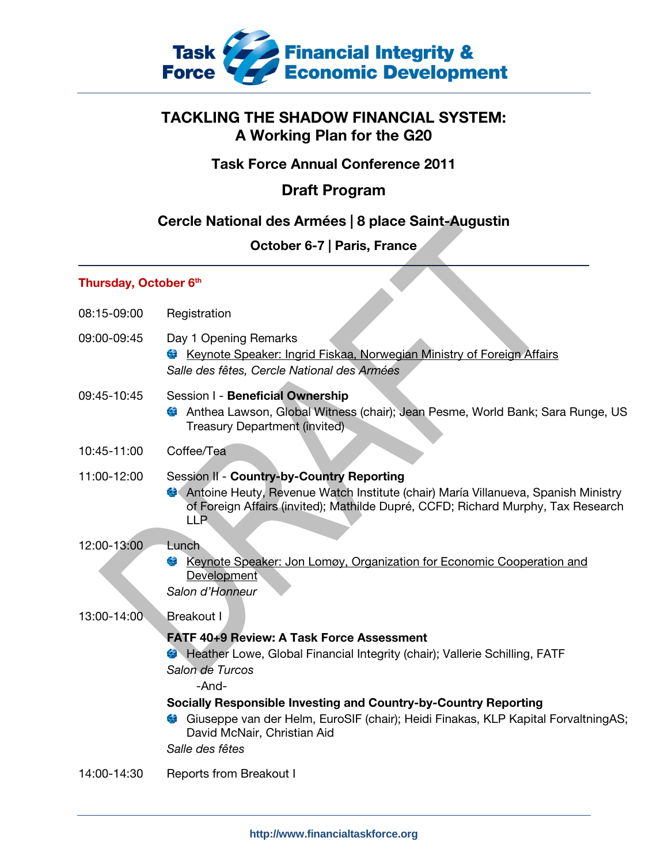

# TACKLING THE SHADOW FINANCIAL SYSTEM: A Working Plan for the G20

## Task Force Annual Conference 2011

# Draft Program

## Cercle National des Armées | 8 place Saint-Augustin

## October 6-7 | Paris, France

### Thursday, October 6th

| 08:15-09:00 | Registration                                                                                                                                                                                                                                                                                                                                                                                                    |
|-------------|-----------------------------------------------------------------------------------------------------------------------------------------------------------------------------------------------------------------------------------------------------------------------------------------------------------------------------------------------------------------------------------------------------------------|
| 09:00-09:45 | Day 1 Opening Remarks<br>Keynote Speaker: Ingrid Fiskaa, Norwegian Ministry of Foreign Affairs<br>$\mathcal{L}_{\text{eff}}$<br>Salle des fêtes, Cercle National des Armées                                                                                                                                                                                                                                     |
| 09:45-10:45 | Session I - Beneficial Ownership<br>Anthea Lawson, Global Witness (chair); Jean Pesme, World Bank; Sara Runge, US<br>C.<br><b>Treasury Department (invited)</b>                                                                                                                                                                                                                                                 |
| 10:45-11:00 | Coffee/Tea                                                                                                                                                                                                                                                                                                                                                                                                      |
| 11:00-12:00 | Session II - Country-by-Country Reporting<br>Antoine Heuty, Revenue Watch Institute (chair) María Villanueva, Spanish Ministry<br>of Foreign Affairs (invited); Mathilde Dupré, CCFD; Richard Murphy, Tax Research<br><b>LLP</b>                                                                                                                                                                                |
| 12:00-13:00 | Lunch<br>t,<br>Keynote Speaker: Jon Lomøy, Organization for Economic Cooperation and<br>Development<br>Salon d'Honneur                                                                                                                                                                                                                                                                                          |
| 13:00-14:00 | <b>Breakout I</b><br><b>FATF 40+9 Review: A Task Force Assessment</b><br><b>B</b> Heather Lowe, Global Financial Integrity (chair); Vallerie Schilling, FATF<br>Salon de Turcos<br>-And-<br><b>Socially Responsible Investing and Country-by-Country Reporting</b><br>Giuseppe van der Helm, EuroSIF (chair); Heidi Finakas, KLP Kapital ForvaltningAS;<br>С.<br>David McNair, Christian Aid<br>Salle des fêtes |
| 14:00-14:30 | <b>Reports from Breakout I</b>                                                                                                                                                                                                                                                                                                                                                                                  |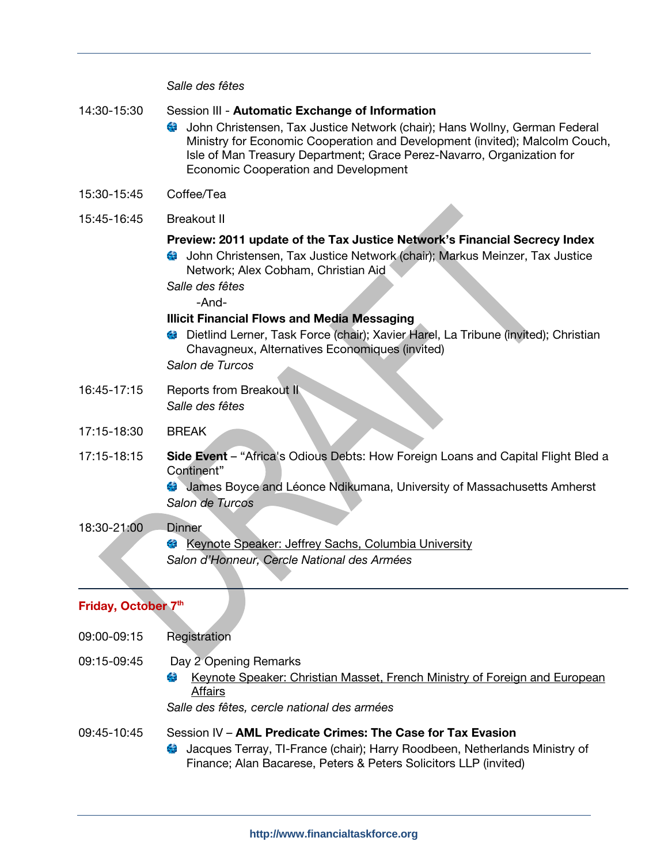### Salle des fêtes

| 14:30-15:30         | Session III - Automatic Exchange of Information<br>John Christensen, Tax Justice Network (chair); Hans Wollny, German Federal<br>Ministry for Economic Cooperation and Development (invited); Malcolm Couch,<br>Isle of Man Treasury Department; Grace Perez-Navarro, Organization for<br>Economic Cooperation and Development                                                                                                                                            |
|---------------------|---------------------------------------------------------------------------------------------------------------------------------------------------------------------------------------------------------------------------------------------------------------------------------------------------------------------------------------------------------------------------------------------------------------------------------------------------------------------------|
| 15:30-15:45         | Coffee/Tea                                                                                                                                                                                                                                                                                                                                                                                                                                                                |
| 15:45-16:45         | <b>Breakout II</b>                                                                                                                                                                                                                                                                                                                                                                                                                                                        |
|                     | Preview: 2011 update of the Tax Justice Network's Financial Secrecy Index<br>John Christensen, Tax Justice Network (chair); Markus Meinzer, Tax Justice<br>Network; Alex Cobham, Christian Aid<br>Salle des fêtes<br>-And-<br><b>Illicit Financial Flows and Media Messaging</b><br>Dietlind Lerner, Task Force (chair); Xavier Harel, La Tribune (invited); Christian<br>$\mathcal{F}_{\mathbf{p}}$<br>Chavagneux, Alternatives Economiques (invited)<br>Salon de Turcos |
| 16:45-17:15         | <b>Reports from Breakout II</b><br>Salle des fêtes                                                                                                                                                                                                                                                                                                                                                                                                                        |
| 17:15-18:30         | <b>BREAK</b>                                                                                                                                                                                                                                                                                                                                                                                                                                                              |
| 17:15-18:15         | Side Event - "Africa's Odious Debts: How Foreign Loans and Capital Flight Bled a<br>Continent"<br>James Boyce and Léonce Ndikumana, University of Massachusetts Amherst<br>Salon de Turcos                                                                                                                                                                                                                                                                                |
| 18:30-21:00         | <b>Dinner</b><br>Keynote Speaker: Jeffrey Sachs, Columbia University<br><b>Ca</b><br>Salon d'Honneur, Cercle National des Armées                                                                                                                                                                                                                                                                                                                                          |
| Friday, October 7th |                                                                                                                                                                                                                                                                                                                                                                                                                                                                           |
| 09:00-09:15         | Registration                                                                                                                                                                                                                                                                                                                                                                                                                                                              |
| 09:15-09:45         | Day 2 Opening Remarks<br>Keynote Speaker: Christian Masset, French Ministry of Foreign and European<br>C.                                                                                                                                                                                                                                                                                                                                                                 |

Salle des fêtes, cercle national des armées

**Affairs** 

### 09:45-10:45 Session IV - AML Predicate Crimes: The Case for Tax Evasion

Jacques Terray, TI-France (chair); Harry Roodbeen, Netherlands Ministry of  $\mathcal{L}_{\mathcal{L}}$ Finance; Alan Bacarese, Peters & Peters Solicitors LLP (invited)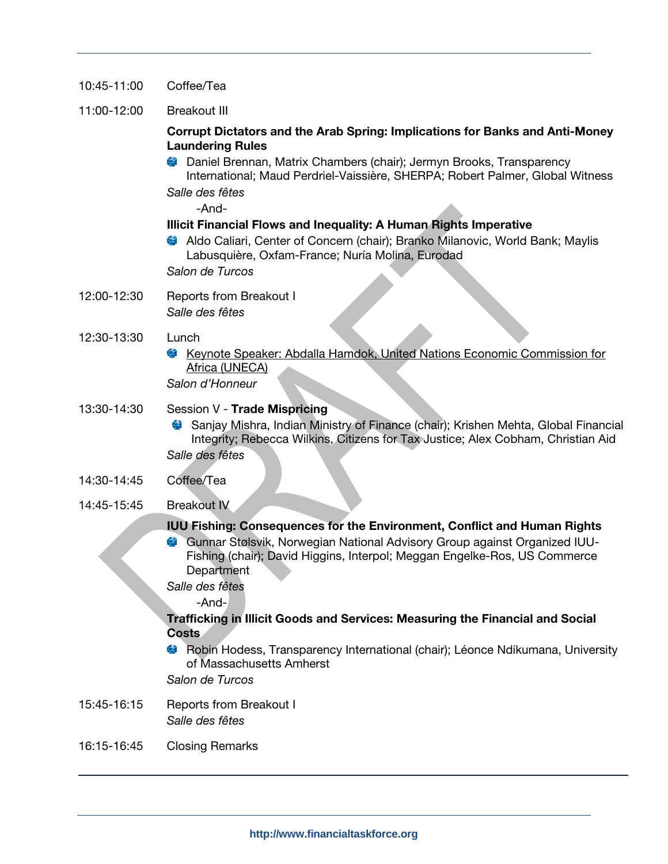- 10:45-11:00 Coffee/Tea
- 11:00-12:00 Breakout III

### Corrupt Dictators and the Arab Spring: Implications for Banks and Anti-Money Laundering Rules

Daniel Brennan, Matrix Chambers (chair); Jermyn Brooks, Transparency Ϋ́, International; Maud Perdriel-Vaissière, SHERPA; Robert Palmer, Global Witness Salle des fêtes

-And-

### Illicit Financial Flows and Inequality: A Human Rights Imperative

Aldo Caliari, Center of Concern (chair); Branko Milanovic, World Bank; Maylis Labusquière, Oxfam-France; Nuría Molina, Eurodad

Salon de Turcos

- 12:00-12:30 Reports from Breakout I Salle des fêtes
- 12:30-13:30 Lunch
	- Keynote Speaker: Abdalla Hamdok, United Nations Economic Commission for Africa (UNECA)

Salon d'Honneur

### 13:30-14:30 Session V - Trade Mispricing

- Sanjay Mishra, Indian Ministry of Finance (chair); Krishen Mehta, Global Financial Integrity; Rebecca Wilkins, Citizens for Tax Justice; Alex Cobham, Christian Aid Salle des fêtes
- 14:30-14:45 Coffee/Tea
- 14:45-15:45 Breakout IV

### IUU Fishing: Consequences for the Environment, Conflict and Human Rights

Gunnar Stølsvik, Norwegian National Advisory Group against Organized IUU-Fishing (chair); David Higgins, Interpol; Meggan Engelke-Ros, US Commerce **Department** 

Salle des fêtes

-And-

### Trafficking in Illicit Goods and Services: Measuring the Financial and Social **Costs**

Robin Hodess, Transparency International (chair); Léonce Ndikumana, University of Massachusetts Amherst

Salon de Turcos

- 15:45-16:15 Reports from Breakout I Salle des fêtes
- 16:15-16:45 Closing Remarks